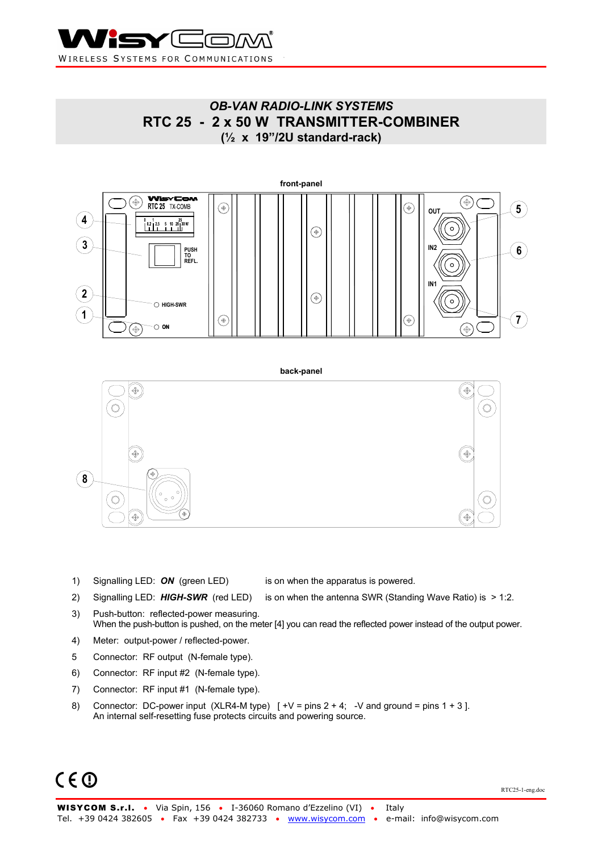

## *OB-VAN RADIO-LINK SYSTEMS*  **RTC 25 - 2 x 50 W TRANSMITTER-COMBINER (½ x 19"/2U standard-rack)**



- 1) Signalling LED: **ON** (green LED) is on when the apparatus is powered.
- 2) Signalling LED: **HIGH-SWR** (red LED) is on when the antenna SWR (Standing Wave Ratio) is > 1:2.
- 3) Push-button: reflected-power measuring. When the push-button is pushed, on the meter [4] you can read the reflected power instead of the output power.
- 4) Meter: output-power / reflected-power.
- 5 Connector: RF output (N-female type).
- 6) Connector: RF input #2 (N-female type).
- 7) Connector: RF input #1 (N-female type).
- 8) Connector: DC-power input  $(XLR4-M type)$  [  $+V = pins 2 + 4$ ;  $-V$  and ground = pins 1 + 3]. An internal self-resetting fuse protects circuits and powering source.

# $C \in \mathbb{O}$